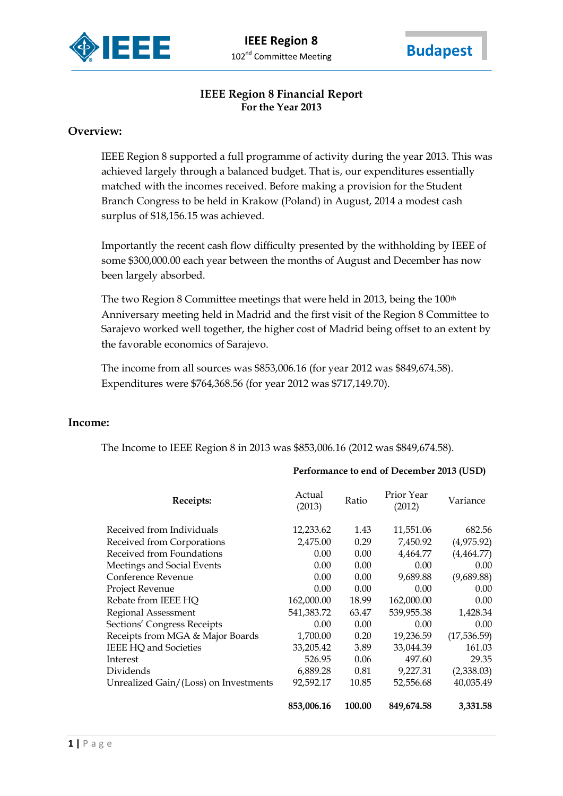



# **IEEE Region 8 Financial Report For the Year 2013**

### **Overview:**

IEEE Region 8 supported a full programme of activity during the year 2013. This was achieved largely through a balanced budget. That is, our expenditures essentially matched with the incomes received. Before making a provision for the Student Branch Congress to be held in Krakow (Poland) in August, 2014 a modest cash surplus of \$18,156.15 was achieved.

Importantly the recent cash flow difficulty presented by the withholding by IEEE of some \$300,000.00 each year between the months of August and December has now been largely absorbed.

The two Region 8 Committee meetings that were held in 2013, being the 100<sup>th</sup> Anniversary meeting held in Madrid and the first visit of the Region 8 Committee to Sarajevo worked well together, the higher cost of Madrid being offset to an extent by the favorable economics of Sarajevo.

The income from all sources was \$853,006.16 (for year 2012 was \$849,674.58). Expenditures were \$764,368.56 (for year 2012 was \$717,149.70).

### **Income:**

The Income to IEEE Region 8 in 2013 was \$853,006.16 (2012 was \$849,674.58).

#### **Performance to end of December 2013 (USD)**

| Receipts:                             | Actual<br>(2013) | Ratio  | Prior Year<br>(2012) | Variance    |
|---------------------------------------|------------------|--------|----------------------|-------------|
| Received from Individuals             | 12,233.62        | 1.43   | 11,551.06            | 682.56      |
| Received from Corporations            | 2,475.00         | 0.29   | 7,450.92             | (4,975.92)  |
| Received from Foundations             | 0.00             | 0.00   | 4,464.77             | (4,464.77)  |
| Meetings and Social Events            | 0.00             | 0.00   | 0.00                 | 0.00        |
| Conference Revenue                    | 0.00             | 0.00   | 9,689.88             | (9,689.88)  |
| Project Revenue                       | 0.00             | 0.00   | 0.00                 | 0.00        |
| Rebate from IEEE HQ                   | 162,000.00       | 18.99  | 162,000.00           | 0.00        |
| Regional Assessment                   | 541,383.72       | 63.47  | 539,955.38           | 1,428.34    |
| Sections' Congress Receipts           | 0.00             | 0.00   | 0.00                 | 0.00        |
| Receipts from MGA & Major Boards      | 1,700.00         | 0.20   | 19,236.59            | (17,536.59) |
| <b>IEEE HQ and Societies</b>          | 33,205.42        | 3.89   | 33,044.39            | 161.03      |
| Interest                              | 526.95           | 0.06   | 497.60               | 29.35       |
| Dividends                             | 6.889.28         | 0.81   | 9.227.31             | (2,338.03)  |
| Unrealized Gain/(Loss) on Investments | 92,592.17        | 10.85  | 52,556.68            | 40,035.49   |
|                                       | 853,006.16       | 100.00 | 849,674.58           | 3,331.58    |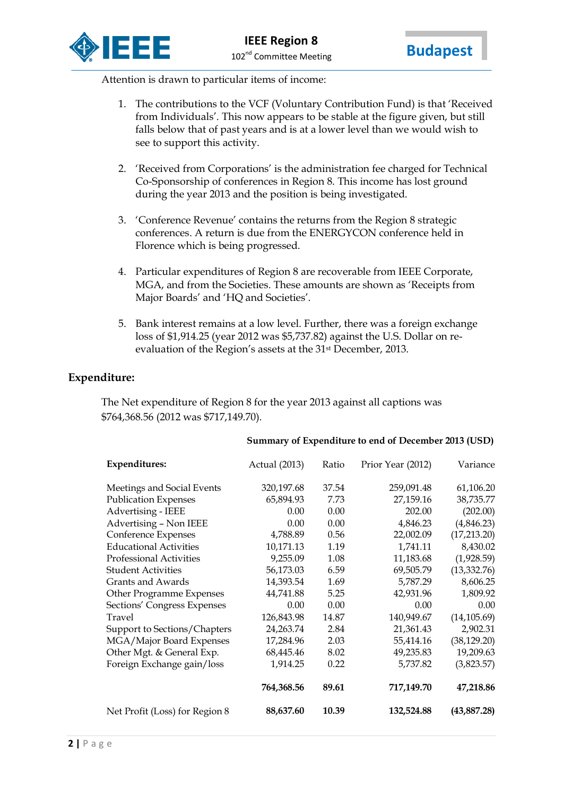



Attention is drawn to particular items of income:

- 1. The contributions to the VCF (Voluntary Contribution Fund) is that 'Received from Individuals'. This now appears to be stable at the figure given, but still falls below that of past years and is at a lower level than we would wish to see to support this activity.
- 2. 'Received from Corporations' is the administration fee charged for Technical Co-Sponsorship of conferences in Region 8. This income has lost ground during the year 2013 and the position is being investigated.
- 3. 'Conference Revenue' contains the returns from the Region 8 strategic conferences. A return is due from the ENERGYCON conference held in Florence which is being progressed.
- 4. Particular expenditures of Region 8 are recoverable from IEEE Corporate, MGA, and from the Societies. These amounts are shown as 'Receipts from Major Boards' and 'HQ and Societies'.
- 5. Bank interest remains at a low level. Further, there was a foreign exchange loss of \$1,914.25 (year 2012 was \$5,737.82) against the U.S. Dollar on reevaluation of the Region's assets at the 31<sup>st</sup> December, 2013.

### **Expenditure:**

The Net expenditure of Region 8 for the year 2013 against all captions was \$764,368.56 (2012 was \$717,149.70).

#### **Summary of Expenditure to end of December 2013 (USD)**

| <b>Expenditures:</b>           | Actual (2013) | Ratio | Prior Year (2012) | Variance     |
|--------------------------------|---------------|-------|-------------------|--------------|
| Meetings and Social Events     | 320,197.68    | 37.54 | 259,091.48        | 61,106.20    |
| <b>Publication Expenses</b>    | 65,894.93     | 7.73  | 27,159.16         | 38,735.77    |
| Advertising - IEEE             | 0.00          | 0.00  | 202.00            | (202.00)     |
| Advertising - Non IEEE         | 0.00          | 0.00  | 4,846.23          | (4,846.23)   |
| Conference Expenses            | 4,788.89      | 0.56  | 22,002.09         | (17,213.20)  |
| <b>Educational Activities</b>  | 10,171.13     | 1.19  | 1,741.11          | 8,430.02     |
| <b>Professional Activities</b> | 9,255.09      | 1.08  | 11,183.68         | (1,928.59)   |
| <b>Student Activities</b>      | 56,173.03     | 6.59  | 69,505.79         | (13, 332.76) |
| Grants and Awards              | 14,393.54     | 1.69  | 5,787.29          | 8,606.25     |
| Other Programme Expenses       | 44,741.88     | 5.25  | 42,931.96         | 1,809.92     |
| Sections' Congress Expenses    | 0.00          | 0.00  | 0.00              | 0.00         |
| Travel                         | 126,843.98    | 14.87 | 140,949.67        | (14, 105.69) |
| Support to Sections/Chapters   | 24,263.74     | 2.84  | 21,361.43         | 2,902.31     |
| MGA/Major Board Expenses       | 17,284.96     | 2.03  | 55,414.16         | (38, 129.20) |
| Other Mgt. & General Exp.      | 68,445.46     | 8.02  | 49,235.83         | 19,209.63    |
| Foreign Exchange gain/loss     | 1,914.25      | 0.22  | 5,737.82          | (3,823.57)   |
|                                | 764,368.56    | 89.61 | 717,149.70        | 47,218.86    |
| Net Profit (Loss) for Region 8 | 88,637.60     | 10.39 | 132,524.88        | (43, 887.28) |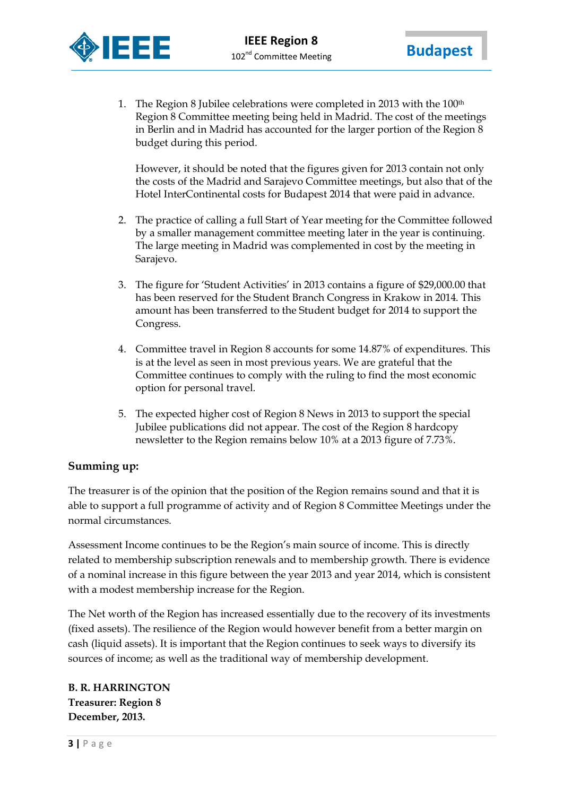

1. The Region 8 Jubilee celebrations were completed in 2013 with the 100<sup>th</sup> Region 8 Committee meeting being held in Madrid. The cost of the meetings in Berlin and in Madrid has accounted for the larger portion of the Region 8 budget during this period.

However, it should be noted that the figures given for 2013 contain not only the costs of the Madrid and Sarajevo Committee meetings, but also that of the Hotel InterContinental costs for Budapest 2014 that were paid in advance.

- 2. The practice of calling a full Start of Year meeting for the Committee followed by a smaller management committee meeting later in the year is continuing. The large meeting in Madrid was complemented in cost by the meeting in Sarajevo.
- 3. The figure for 'Student Activities' in 2013 contains a figure of \$29,000.00 that has been reserved for the Student Branch Congress in Krakow in 2014. This amount has been transferred to the Student budget for 2014 to support the Congress.
- 4. Committee travel in Region 8 accounts for some 14.87% of expenditures. This is at the level as seen in most previous years. We are grateful that the Committee continues to comply with the ruling to find the most economic option for personal travel.
- 5. The expected higher cost of Region 8 News in 2013 to support the special Jubilee publications did not appear. The cost of the Region 8 hardcopy newsletter to the Region remains below 10% at a 2013 figure of 7.73%.

## **Summing up:**

The treasurer is of the opinion that the position of the Region remains sound and that it is able to support a full programme of activity and of Region 8 Committee Meetings under the normal circumstances.

Assessment Income continues to be the Region's main source of income. This is directly related to membership subscription renewals and to membership growth. There is evidence of a nominal increase in this figure between the year 2013 and year 2014, which is consistent with a modest membership increase for the Region.

The Net worth of the Region has increased essentially due to the recovery of its investments (fixed assets). The resilience of the Region would however benefit from a better margin on cash (liquid assets). It is important that the Region continues to seek ways to diversify its sources of income; as well as the traditional way of membership development.

**B. R. HARRINGTON Treasurer: Region 8 December, 2013.**